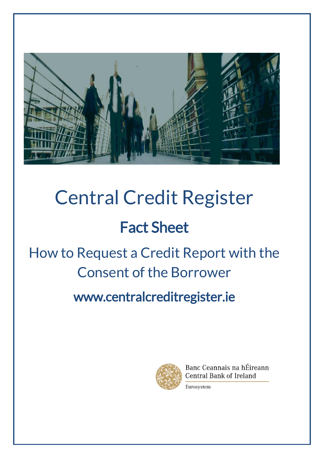

# Central Credit Register

# Fact Sheet

# How to Request a Credit Report with the Consent of the Borrower

# www.centralcreditregister.ie



Banc Ceannais na hÉireann Central Bank of Ireland

Eurosystem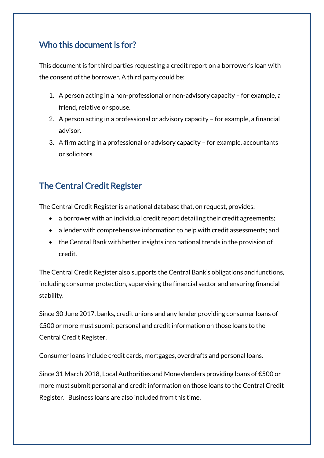# Who this document is for?

This document is for third parties requesting a credit report on a borrower's loan with the consent of the borrower. A third party could be:

- 1. A person acting in a non-professional or non-advisory capacity for example, a friend, relative or spouse.
- 2. A person acting in a professional or advisory capacity for example, a financial advisor.
- 3. A firm acting in a professional or advisory capacity for example, accountants or solicitors.

# The Central Credit Register

The Central Credit Register is a national database that, on request, provides:

- a borrower with an individual credit report detailing their credit agreements;
- a lender with comprehensive information to help with credit assessments; and
- the Central Bank with better insights into national trends in the provision of credit.

The Central Credit Register also supports the Central Bank's obligations and functions, including consumer protection, supervising the financial sector and ensuring financial stability.

Since 30 June 2017, banks, credit unions and any lender providing consumer loans of €500 or more must submit personal and credit information on those loans to the Central Credit Register.

Consumer loans include credit cards, mortgages, overdrafts and personal loans.

Since 31 March 2018, Local Authorities and Moneylenders providing loans of €500 or more must submit personal and credit information on those loans to the Central Credit Register. Business loans are also included from this time.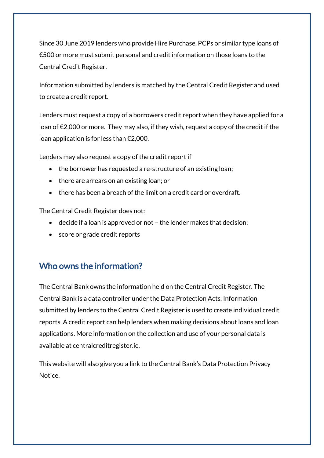Since 30 June 2019 lenders who provide Hire Purchase, PCPs or similar type loans of €500 or more must submit personal and credit information on those loans to the Central Credit Register.

Information submitted by lenders is matched by the Central Credit Register and used to create a credit report.

Lenders must request a copy of a borrowers credit report when they have applied for a loan of €2,000 or more. They may also, if they wish, request a copy of the credit if the loan application is for less than €2,000.

Lenders may also request a copy of the credit report if

- the borrower has requested a re-structure of an existing loan;
- there are arrears on an existing loan; or
- there has been a breach of the limit on a credit card or overdraft.

The Central Credit Register does not:

- decide if a loan is approved or not the lender makes that decision;
- score or grade credit reports

# Who owns the information?

The Central Bank owns the information held on the Central Credit Register. The Central Bank is a data controller under the Data Protection Acts. Information submitted by lenders to the Central Credit Register is used to create individual credit reports. A credit report can help lenders when making decisions about loans and loan applications. More information on the collection and use of your personal data is available at [centralcreditregister.ie.](https://cbiteams/sites/centralcreditregister/Client_Engagement/CCR%20WEBSITE/FACTSHEETS/2022/PSC%20ACCEPTABLE/ENGLISH/.centralcreditregister.ie)

This website will also give you a link to the Central Bank's Data Protection Privacy Notice.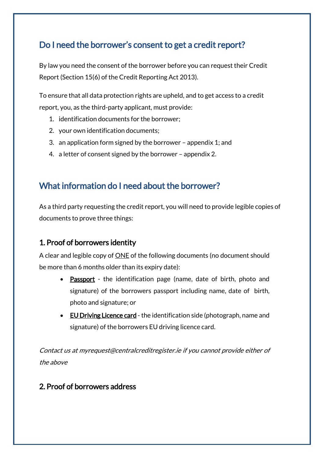# Do I need the borrower's consent to get a credit report?

By law you need the consent of the borrower before you can request their Credit Report (Section 15(6) of the Credit Reporting Act 2013).

To ensure that all data protection rights are upheld, and to get access to a credit report, you, as the third-party applicant, must provide:

- 1. identification documents for the borrower;
- 2. your own identification documents;
- 3. an application form signed by the borrower appendix 1; and
- 4. a letter of consent signed by the borrower appendix 2.

### What information do I need about the borrower?

As a third party requesting the credit report, you will need to provide legible copies of documents to prove three things:

#### 1. Proof of borrowers identity

A clear and legible copy of ONE of the following documents (no document should be more than 6 months older than its expiry date):

- Passport the identification page (name, date of birth, photo and signature) of the borrowers passport including name, date of birth, photo and signature; or
- EU Driving Licence card the identification side (photograph, name and signature) of the borrowers EU driving licence card.

Contact us a[t myrequest@centralcreditregister.ie](mailto:myrequest@centralcreditregister.ie) if you cannot provide either of the above

#### 2. Proof of borrowers address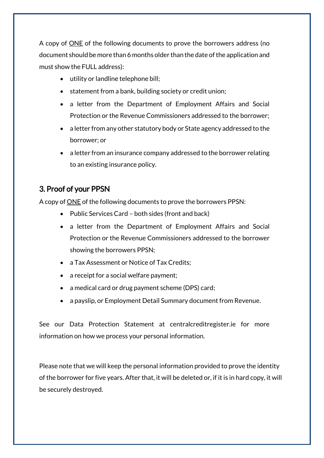A copy of ONE of the following documents to prove the borrowers address (no document should be more than 6 months older than the date of the application and must show the FULL address):

- utility or landline telephone bill;
- statement from a bank, building society or credit union;
- a letter from the Department of Employment Affairs and Social Protection or the Revenue Commissioners addressed to the borrower;
- a letter from any other statutory body or State agency addressed to the borrower; or
- a letter from an insurance company addressed to the borrower relating to an existing insurance policy.

#### 3. Proof of your PPSN

A copy of ONE of the following documents to prove the borrowers PPSN:

- Public Services Card both sides (front and back)
- a letter from the Department of Employment Affairs and Social Protection or the Revenue Commissioners addressed to the borrower showing the borrowers PPSN;
- a Tax Assessment or Notice of Tax Credits;
- a receipt for a social welfare payment;
- a medical card or drug payment scheme (DPS) card;
- a payslip, or Employment Detail Summary document from Revenue.

See our Data Protection Statement at centralcreditregister.ie for more information on how we process your personal information.

Please note that we will keep the personal information provided to prove the identity of the borrower for five years. After that, it will be deleted or, if it is in hard copy, it will be securely destroyed.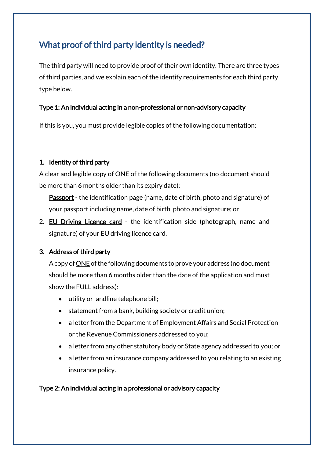# What proof of third party identity is needed?

The third party will need to provide proof of their own identity. There are three types of third parties, and we explain each of the identify requirements for each third party type below.

#### Type 1: An individual acting in a non-professional or non-advisory capacity

If this is you, you must provide legible copies of the following documentation:

#### 1. Identity of third party

A clear and legible copy of ONE of the following documents (no document should be more than 6 months older than its expiry date):

**Passport** - the identification page (name, date of birth, photo and signature) of your passport including name, date of birth, photo and signature; or

2. **EU Driving Licence card** - the identification side (photograph, name and signature) of your EU driving licence card.

#### 3. Address of third party

Acopy of ONE of the following documents to prove your address (no document should be more than 6 months older than the date of the application and must show the FULL address):

- utility or landline telephone bill;
- statement from a bank, building society or credit union;
- a letter from the Department of Employment Affairs and Social Protection or the Revenue Commissioners addressed to you;
- a letter from any other statutory body or State agency addressed to you; or
- a letter from an insurance company addressed to you relating to an existing insurance policy.

#### Type 2: An individual acting in a professional or advisory capacity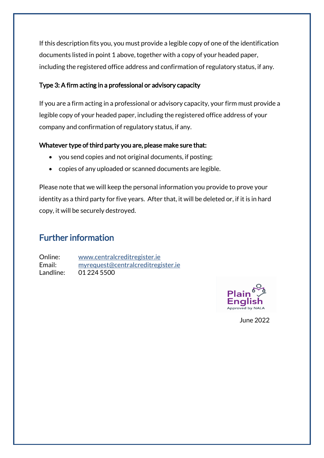If this description fits you, you must provide a legible copy of one of the identification documents listed in point 1 above, together with a copy of your headed paper, including the registered office address and confirmation of regulatory status, if any.

#### Type 3: A firm acting in a professional or advisory capacity

If you are a firm acting in a professional or advisory capacity, your firm must provide a legible copy of your headed paper, including the registered office address of your company and confirmation of regulatory status, if any.

#### Whatever type of third party you are, please make sure that:

- you send copies and not original documents, if posting;
- copies of any uploaded or scanned documents are legible.

Please note that we will keep the personal information you provide to prove your identity as a third party for five years. After that, it will be deleted or, if it is in hard copy, it will be securely destroyed.

# Further information

Online: [www.centralcreditregister.ie](http://www.centralcreditregister.ie/) Email: [myrequest@centralcreditregister.ie](mailto:myrequest@centralcreditregister.ie) Landline: 01 224 5500



June 2022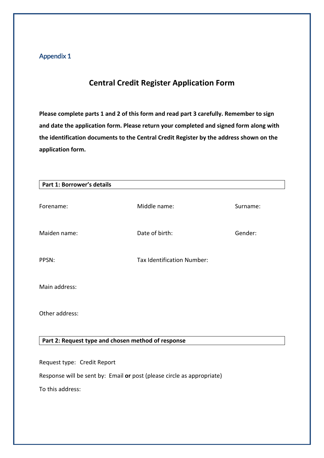#### Appendix 1

### **Central Credit Register Application Form**

**Please complete parts 1 and 2 of this form and read part 3 carefully. Remember to sign and date the application form. Please return your completed and signed form along with the identification documents to the Central Credit Register by the address shown on the application form.** 

| Request type: Credit Report                                            |  |  |  |
|------------------------------------------------------------------------|--|--|--|
| Response will be sent by: Email or post (please circle as appropriate) |  |  |  |
| To this address:                                                       |  |  |  |
|                                                                        |  |  |  |
|                                                                        |  |  |  |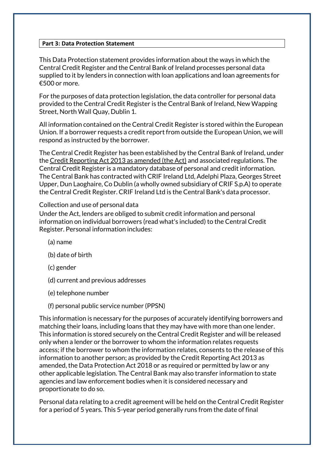#### **Part 3: Data Protection Statement**

This Data Protection statement provides information about the ways in which the Central Credit Register and the Central Bank of Ireland processes personal data supplied to it by lenders in connection with loan applications and loan agreements for €500 or more.

For the purposes of data protection legislation, the data controller for personal data provided to the Central Credit Register is the Central Bank of Ireland, New Wapping Street, North Wall Quay, Dublin 1.

All information contained on the Central Credit Register is stored within the European Union. If a borrower requests a credit report from outside the European Union, we will respond as instructed by the borrower.

The Central Credit Register has been established by the Central Bank of Ireland, under the [Credit Reporting Act 2013 as amended \(the Act\)](https://www.centralcreditregister.ie/media/1337/credit-reporting-act-2013.pdf) and associated regulations. The Central Credit Register is a mandatory database of personal and credit information. The Central Bank has contracted with CRIF Ireland Ltd, Adelphi Plaza, Georges Street Upper, Dun Laoghaire, Co Dublin (a wholly owned subsidiary of CRIF S.p.A) to operate the Central Credit Register. CRIF Ireland Ltd is the Central Bank's data processor.

#### Collection and use of personal data

Under the Act, lenders are obliged to submit credit information and personal information on individual borrowers [\(read what's included\)](https://www.centralcreditregister.ie/about/what-is-included/) to the Central Credit Register. Personal information includes:

- (a) name
- (b) date of birth
- (c) gender
- (d) current and previous addresses
- (e) telephone number
- (f) personal public service number (PPSN)

This information is necessary for the purposes of accurately identifying borrowers and matching their loans, including loans that they may have with more than one lender. This information is stored securely on the Central Credit Register and will be released only when a lender or the borrower to whom the information relates requests access; if the borrower to whom the information relates, consents to the release of this information to another person; as provided by the Credit Reporting Act 2013 as amended, the Data Protection Act 2018 or as required or permitted by law or any other applicable legislation. The Central Bank may also transfer information to state agencies and law enforcement bodies when it is considered necessary and proportionate to do so.

Personal data relating to a credit agreement will be held on the Central Credit Register for a period of 5 years. This 5-year period generally runs from the date of final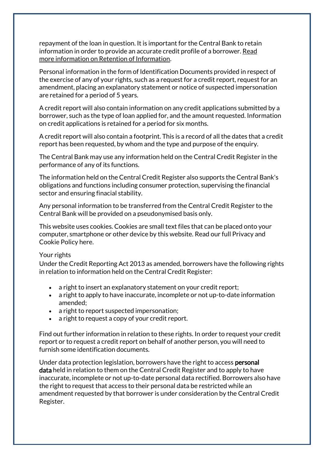repayment of the loan in question. It is important for the Central Bank to retain information in order to provide an accurate credit profile of a borrower. [Read](https://www.centralcreditregister.ie/borrower-area/retention-of-information/)  more [information on Retention of Information.](https://www.centralcreditregister.ie/borrower-area/retention-of-information/)

Personal information in the form of Identification Documents provided in respect of the exercise of any of your rights, such as a request for a credit report, request for an amendment, placing an explanatory statement or notice of suspected impersonation are retained for a period of 5 years.

A credit report will also contain information on any credit applications submitted by a borrower, such as the type of loan applied for, and the amount requested. Information on credit applications is retained for a period for six months.

A credit report will also contain a footprint. This is a record of all the dates that a credit report has been requested, by whom and the type and purpose of the enquiry.

The Central Bank may use any information held on the Central Credit Register in the performance of any of its functions.

The information held on the Central Credit Register also supports the Central Bank's obligations and functions including consumer protection, supervising the financial sector and ensuring finacial stability.

Any personal information to be transferred from the Central Credit Register to the Central Bank will be provided on a pseudonymised basis only.

This website uses cookies. Cookies are small text files that can be placed onto your computer, smartphone or other device by this website. [Read our full Privacy and](https://www.centralcreditregister.ie/privacy-cookies/)  [Cookie Policy here.](https://www.centralcreditregister.ie/privacy-cookies/)

#### Your rights

Under the Credit Reporting Act 2013 as amended, borrowers have the following rights in relation to information held on the Central Credit Register:

- a right to insert an explanatory statement on your credit report;
- a right to apply to have inaccurate, incomplete or not up-to-date information amended;
- a right to report suspected impersonation;
- a right to request a copy of your credit report.

Find out [further information in relation to these rights.](https://www.centralcreditregister.ie/borrower-area/apply-for-your-credit-report-and-other-rights/) In order to request your credit report or to request a credit report on behalf of another person, you will need to furnish some [identification documents.](https://www.centralcreditregister.ie/borrower-area/apply-for-your-credit-report-and-other-rights/identification-documents/)

Under data protection legislation, borrowers have the right to access personal data held in relation to them on the Central Credit Register and to apply to have inaccurate, incomplete or not up-to-date personal data rectified. Borrowers also have the right to request that access to their personal data be restricted while an amendment requested by that borrower is under consideration by the Central Credit Register.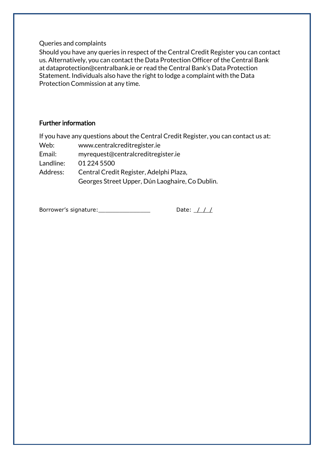#### Queries and complaints

Should you have any queries in respect of the Central Credit Register you can [contact](https://www.centralcreditregister.ie/borrower-area/contact-us/)  [us.](https://www.centralcreditregister.ie/borrower-area/contact-us/) Alternatively, you can contact the Data Protection Officer of the Central Bank at dataprotection@centralbank.ie o[r read the Central Bank's](https://www.centralbank.ie/fns/privacy-statement) Data Protection [Statement.](https://www.centralbank.ie/fns/privacy-statement) Individuals also have the right to lodge a complaint with the Data Protection Commission at any time.

#### Further information

If you have any questions about the Central Credit Register, you can contact us at:

Web: [www.centralcreditregister.ie](http://www.centralcreditregister.ie/)

Email: [myrequest@centralcreditregister.ie](mailto:myrequest@centralcreditregister.ie)

Landline: 01 224 5500

Address: Central Credit Register, Adelphi Plaza,

Georges Street Upper, Dún Laoghaire, Co Dublin.

Borrower's signature:  $\sqrt{1/2}$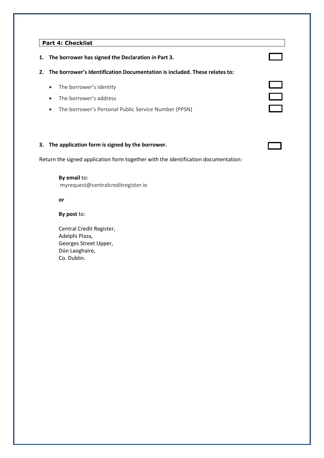#### **Part 4: Checklist**

|    | Part 4: Checklist                                                                                                                                |  |
|----|--------------------------------------------------------------------------------------------------------------------------------------------------|--|
| 1. | The borrower has signed the Declaration in Part 3.                                                                                               |  |
| 2. | The borrower's Identification Documentation is included. These relates to:                                                                       |  |
|    | The borrower's identity<br>$\bullet$<br>The borrower's address<br>$\bullet$<br>The borrower's Personal Public Service Number (PPSN)<br>$\bullet$ |  |
| 3. | The application form is signed by the borrower.                                                                                                  |  |

Return the signed application form together with the identification documentation:

**By email** to: [myrequest@centralcreditregister.ie](mailto:myrequest@centralcreditregister.ie)

**or** 

**By post** to:

Central Credit Register, Adelphi Plaza, Georges Street Upper, Dún Laoghaire, Co. Dublin.